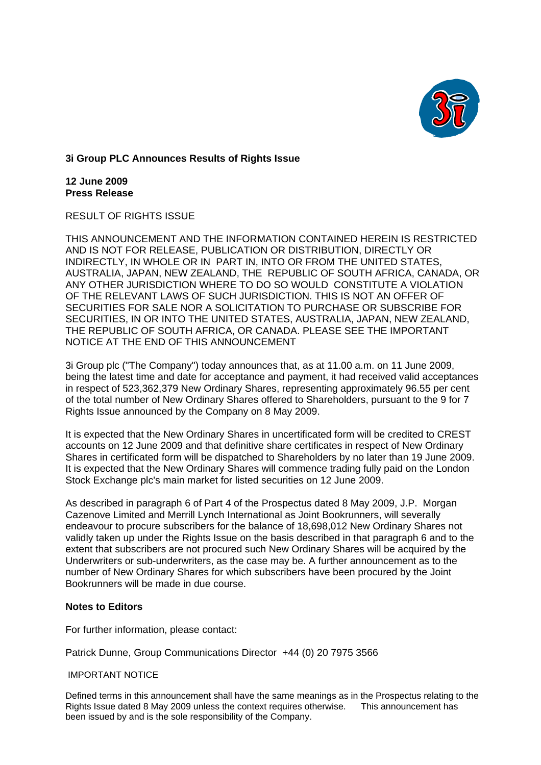

## **3i Group PLC Announces Results of Rights Issue**

**12 June 2009 Press Release**

RESULT OF RIGHTS ISSUE

THIS ANNOUNCEMENT AND THE INFORMATION CONTAINED HEREIN IS RESTRICTED AND IS NOT FOR RELEASE, PUBLICATION OR DISTRIBUTION, DIRECTLY OR INDIRECTLY, IN WHOLE OR IN PART IN, INTO OR FROM THE UNITED STATES, AUSTRALIA, JAPAN, NEW ZEALAND, THE REPUBLIC OF SOUTH AFRICA, CANADA, OR ANY OTHER JURISDICTION WHERE TO DO SO WOULD CONSTITUTE A VIOLATION OF THE RELEVANT LAWS OF SUCH JURISDICTION. THIS IS NOT AN OFFER OF SECURITIES FOR SALE NOR A SOLICITATION TO PURCHASE OR SUBSCRIBE FOR SECURITIES, IN OR INTO THE UNITED STATES, AUSTRALIA, JAPAN, NEW ZEALAND, THE REPUBLIC OF SOUTH AFRICA, OR CANADA. PLEASE SEE THE IMPORTANT NOTICE AT THE END OF THIS ANNOUNCEMENT

3i Group plc ("The Company") today announces that, as at 11.00 a.m. on 11 June 2009, being the latest time and date for acceptance and payment, it had received valid acceptances in respect of 523,362,379 New Ordinary Shares, representing approximately 96.55 per cent of the total number of New Ordinary Shares offered to Shareholders, pursuant to the 9 for 7 Rights Issue announced by the Company on 8 May 2009.

It is expected that the New Ordinary Shares in uncertificated form will be credited to CREST accounts on 12 June 2009 and that definitive share certificates in respect of New Ordinary Shares in certificated form will be dispatched to Shareholders by no later than 19 June 2009. It is expected that the New Ordinary Shares will commence trading fully paid on the London Stock Exchange plc's main market for listed securities on 12 June 2009.

As described in paragraph 6 of Part 4 of the Prospectus dated 8 May 2009, J.P. Morgan Cazenove Limited and Merrill Lynch International as Joint Bookrunners, will severally endeavour to procure subscribers for the balance of 18,698,012 New Ordinary Shares not validly taken up under the Rights Issue on the basis described in that paragraph 6 and to the extent that subscribers are not procured such New Ordinary Shares will be acquired by the Underwriters or sub-underwriters, as the case may be. A further announcement as to the number of New Ordinary Shares for which subscribers have been procured by the Joint Bookrunners will be made in due course.

## **Notes to Editors**

For further information, please contact:

Patrick Dunne, Group Communications Director +44 (0) 20 7975 3566

## IMPORTANT NOTICE

Defined terms in this announcement shall have the same meanings as in the Prospectus relating to the Rights Issue dated 8 May 2009 unless the context requires otherwise. This announcement has been issued by and is the sole responsibility of the Company.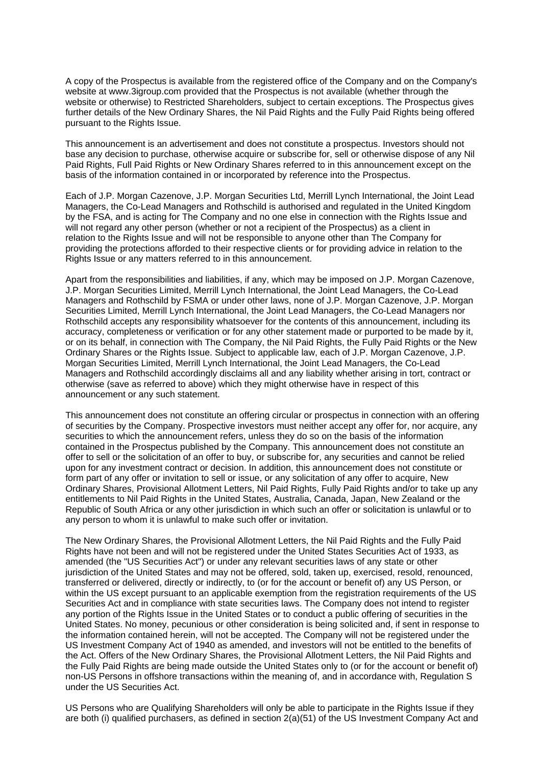A copy of the Prospectus is available from the registered office of the Company and on the Comp any's website at www.3igroup.com provided that the Prospectus is not available (whether through the website or otherwise) to Restricted Shareholders, subject to certain exceptions. The Prospectus gives further details of the New Ordinary Shares, the Nil Paid Rights and the Fully Paid Rights being offered pursuant to the Rights Issue.

Paid Rights, Full Paid Rights or New Ordinary Shares referred to in this announcement except on the basis of the information contained in or incorporated by reference into the Prospectus. This announcement is an advertisement and does not constitute a prospectus. Investors should not base any decision to purchase, otherwise acquire or subscribe for, sell or otherwise dispose of any Nil

by the FSA, and is acting for The Company and no one else in connection with the Rights Issue and providing the protections afforded to their respective clients or for providing advice in relation to the Rights Issue or any matters referred to in this announcement. Each of J.P. Morgan Cazenove, J.P. Morgan Securities Ltd, Merrill Lynch International, the Joint Lead Managers, the Co-Lead Managers and Rothschild is authorised and regulated in the United Kingdom will not regard any other person (whether or not a recipient of the Prospectus) as a client in relation to the Rights Issue and will not be responsible to anyone other than The Company for

Apart from the responsibilities and liabilities, if any, which may be imposed on J.P. Morgan Cazenove, or on its behalf, in connection with The Company, the Nil Paid Rights, the Fully Paid Rights or the New Ordinary Shares or the Rights Issue. Subject to applicable law, each of J.P. Morgan Cazenove, J.P. Managers and Rothschild accordingly disclaims all and any liability whether arising in tort, contract or otherwise (save as referred to above) which they might otherwise have in respect of this announcement or any such statement. J.P. Morgan Securities Limited, Merrill Lynch International, the Joint Lead Managers, the Co-Lead Managers and Rothschild by FSMA or under other laws, none of J.P. Morgan Cazenove, J.P. Morgan Securities Limited, Merrill Lynch International, the Joint Lead Managers, the Co-Lead Managers nor Rothschild accepts any responsibility whatsoever for the contents of this announcement, including its accuracy, completeness or verification or for any other statement made or purported to be made by it, Morgan Securities Limited, Merrill Lynch International, the Joint Lead Managers, the Co-Lead

of securities by the Company. Prospective investors must neither accept any offer for, nor acquire, any upon for any investment contract or decision. In addition, this announcement does not constitute or Ordinary Shares, Provisional Allotment Letters, Nil Paid Rights, Fully Paid Rights and/or to take up any Republic of South Africa or any other jurisdiction in which such an offer or solicitation is unlawful or to any person to whom it is unlawful to make such offer or invitation. This announcement does not constitute an offering circular or prospectus in connection with an offering securities to which the announcement refers, unless they do so on the basis of the information contained in the Prospectus published by the Company. This announcement does not constitute an offer to sell or the solicitation of an offer to buy, or subscribe for, any securities and cannot be relied form part of any offer or invitation to sell or issue, or any solicitation of any offer to acquire, New entitlements to Nil Paid Rights in the United States, Australia, Canada, Japan, New Zealand or the

Rights have not been and will not be registered under the United States Securities Act of 1933, as jurisdiction of the United States and may not be offered, sold, taken up, exercised, resold, renounced, United States. No money, pecunious or other consideration is being solicited and, if sent in response to the Fully Paid Rights are being made outside the United States only to (or for the account or benefit of) non-US Persons in offshore transactions within the meaning of, and in accordance with, Regulation S under the US Securities Act. The New Ordinary Shares, the Provisional Allotment Letters, the Nil Paid Rights and the Fully Paid amended (the "US Securities Act") or under any relevant securities laws of any state or other transferred or delivered, directly or indirectly, to (or for the account or benefit of) any US Person, or within the US except pursuant to an applicable exemption from the registration requirements of the US Securities Act and in compliance with state securities laws. The Company does not intend to register any portion of the Rights Issue in the United States or to conduct a public offering of securities in the the information contained herein, will not be accepted. The Company will not be registered under the US Investment Company Act of 1940 as amended, and investors will not be entitled to the benefits of the Act. Offers of the New Ordinary Shares, the Provisional Allotment Letters, the Nil Paid Rights and

US Persons who are Qualifying Shareholders will only be able to participate in the Rights Issue if they are both (i) qualified purchasers, as defined in section 2(a)(51) of the US Investment Company Act and